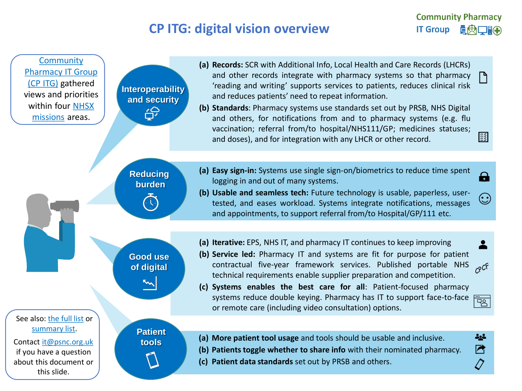## **CP ITG: digital vision overview**